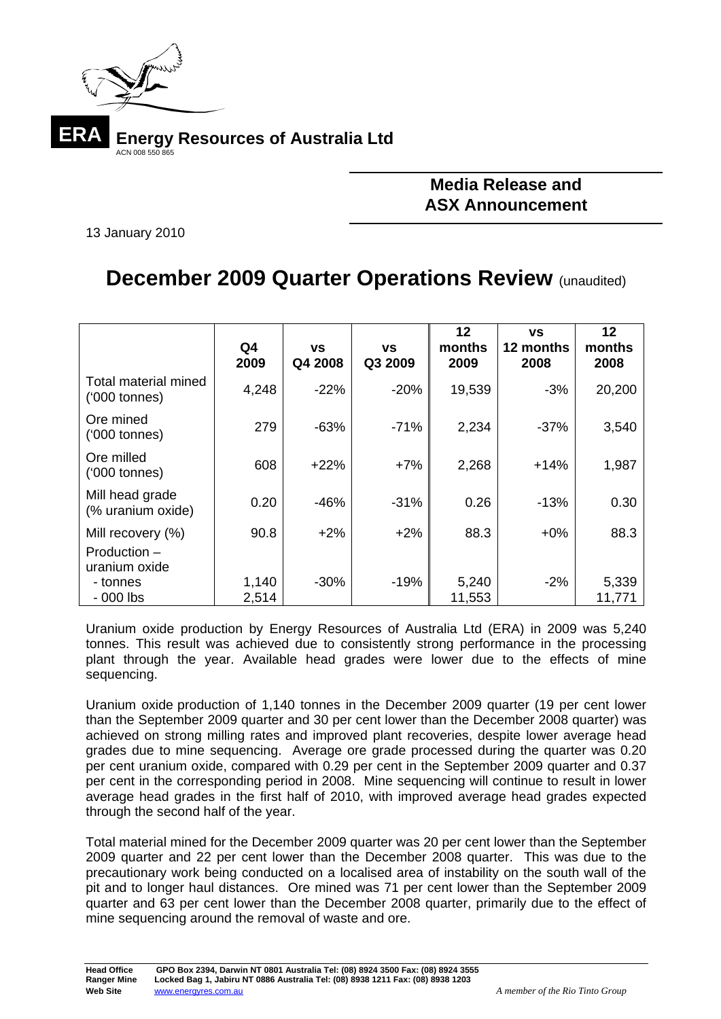

## **Media Release and ASX Announcement**

13 January 2010

## **December 2009 Quarter Operations Review (unaudited)**

|                                                    | Q4<br>2009     | <b>VS</b><br>Q4 2008 | <b>VS</b><br>Q3 2009 | 12<br>months<br>2009 | <b>VS</b><br>12 months<br>2008 | 12<br>months<br>2008 |
|----------------------------------------------------|----------------|----------------------|----------------------|----------------------|--------------------------------|----------------------|
| Total material mined<br>$(000 \text{ tonnes})$     | 4,248          | $-22%$               | $-20%$               | 19,539               | $-3%$                          | 20,200               |
| Ore mined<br>$(000 \t{tonnes})$                    | 279            | $-63%$               | $-71%$               | 2,234                | $-37%$                         | 3,540                |
| Ore milled<br>$(000 \t{tonnes})$                   | 608            | $+22%$               | $+7%$                | 2,268                | $+14%$                         | 1,987                |
| Mill head grade<br>(% uranium oxide)               | 0.20           | -46%                 | $-31%$               | 0.26                 | $-13%$                         | 0.30                 |
| Mill recovery (%)<br>Production -<br>uranium oxide | 90.8           | $+2\%$               | $+2%$                | 88.3                 | $+0\%$                         | 88.3                 |
| - tonnes<br>$-000$ lbs                             | 1,140<br>2,514 | $-30%$               | $-19%$               | 5,240<br>11,553      | $-2%$                          | 5,339<br>11,771      |

Uranium oxide production by Energy Resources of Australia Ltd (ERA) in 2009 was 5,240 tonnes. This result was achieved due to consistently strong performance in the processing plant through the year. Available head grades were lower due to the effects of mine sequencing.

Uranium oxide production of 1,140 tonnes in the December 2009 quarter (19 per cent lower than the September 2009 quarter and 30 per cent lower than the December 2008 quarter) was achieved on strong milling rates and improved plant recoveries, despite lower average head grades due to mine sequencing. Average ore grade processed during the quarter was 0.20 per cent uranium oxide, compared with 0.29 per cent in the September 2009 quarter and 0.37 per cent in the corresponding period in 2008. Mine sequencing will continue to result in lower average head grades in the first half of 2010, with improved average head grades expected through the second half of the year.

Total material mined for the December 2009 quarter was 20 per cent lower than the September 2009 quarter and 22 per cent lower than the December 2008 quarter. This was due to the precautionary work being conducted on a localised area of instability on the south wall of the pit and to longer haul distances. Ore mined was 71 per cent lower than the September 2009 quarter and 63 per cent lower than the December 2008 quarter, primarily due to the effect of mine sequencing around the removal of waste and ore.